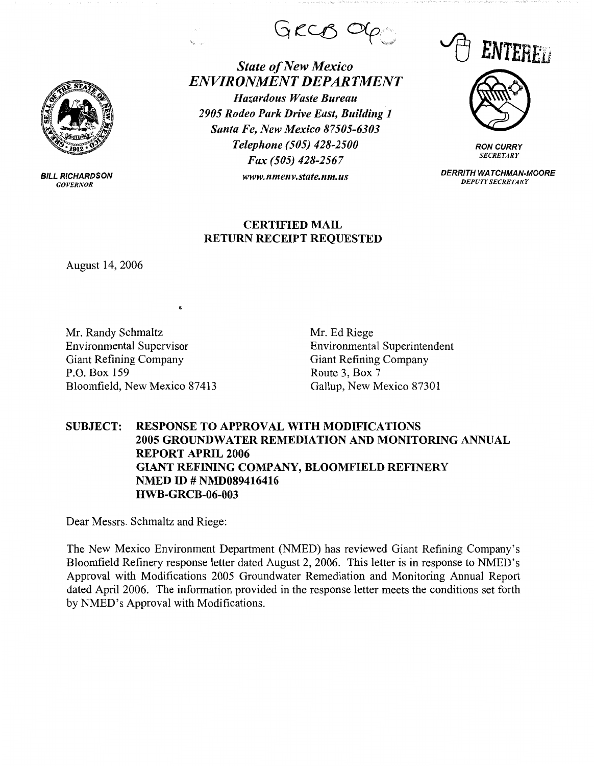

BILL **RICHARDSON**  *GOVERNOR* 

GRCB OG

*State of New Mexico ENVIRONMENT DEPARTMENT Hazardous Waste Bureau 2905 Rodeo Park Drive East, Building 1 Santa Fe, New Mexico 87505-6303 Telephone (505) 428-2500 Fax (505) 428-2567 www.nmenv.state.nm.us* **DERR/TH WATCHMAN-MOORE** 





**RON CURRY**  *SECRETARY* 

*DEPUTY SECRETARY* 

## **CERTIFIED MAIL RETURN RECEIPT REQUESTED**

August 14, 2006

Mr. Randy Schmaltz Environmental Supervisor Giant Refining Company P.O. Box 159 Bloomfield, New Mexico 87413 Mr. Ed Riege Environmental Superintendent Giant Refining Company Route 3, Box 7 Gallup, New Mexico 87301

## **SUBJECT: RESPONSE TO APPROVAL WITH MODIFICATIONS 2005 GROUNDWATER REMEDIATION AND MONITORING ANNUAL REPORT APRIL 2006 GIANT REFINING COMPANY, BLOOMFIELD REFINERY NMED ID# NMD089416416 HWB-GRCB-06-003**

Dear Messrs. Schmaltz and Riege:

The New Mexico Environment Department (NMED) has reviewed Giant Refining Company's Bloomfield Refinery response letter dated August 2, 2006. This letter is in response to NMED's Approval with Modifications 2005 Groundwater Remediation and Monitoring Annual Report dated April 2006. The information provided in the response letter meets the conditions set forth by NMED's Approval with Modifications.